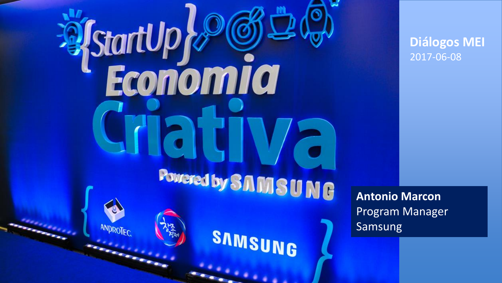**StartUp & StartUp**<br>Economia Powered by SAMSUNG ANDROTEC SAMSUNG

**Antonio Marcon** Program Manager Samsung

**Diálogos MEI** 2017-06-08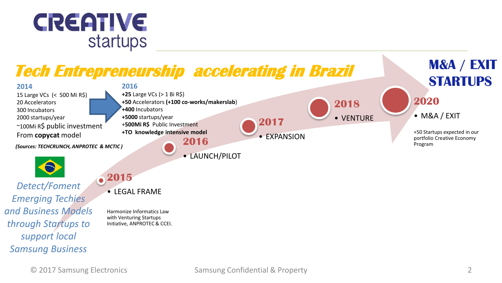

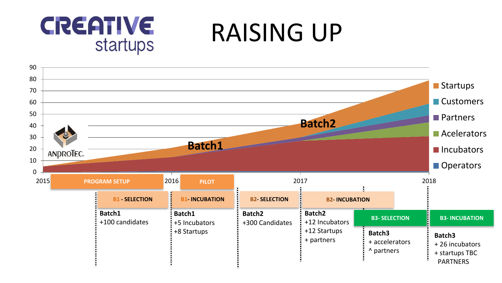

RAISING UP

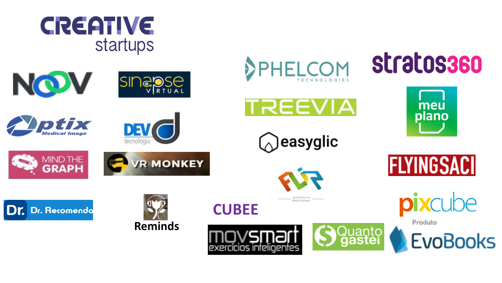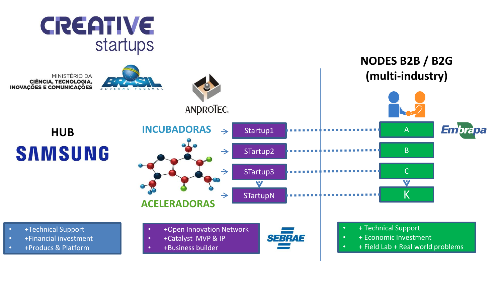

MINISTÉRIO DA **CIÊNCIA, TECNOLOGIA, INOVAÇÕES E COMUNICAÇÕES** 





- +Technical Support • +Financial investment
- +Producs & Platform

• +Catalyst MVP & IP • +Business builder



- + Economic Investment
- $\bullet$  + Field Lab + Real world problems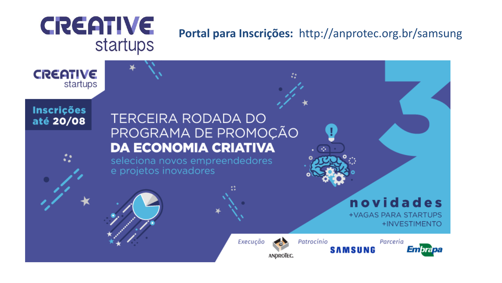